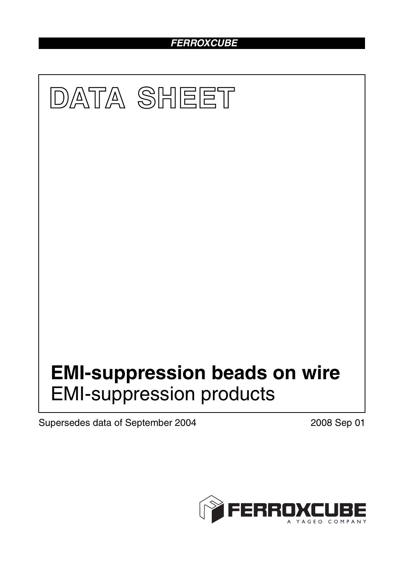# *FERROXCUBE*



Supersedes data of September 2004 2008 Sep 01

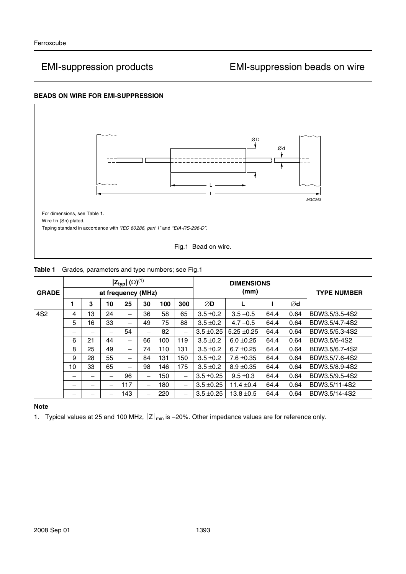### **BEADS ON WIRE FOR EMI-SUPPRESSION**



| <b>GRADE</b>    | $ \mathsf{Z}_{\mathsf{typ}} $ ( $\Omega$ ) <sup>(1)</sup><br>at frequency (MHz) |    |    |                          |                          |     |     | <b>DIMENSIONS</b><br>(mm) |                 |      |      | <b>TYPE NUMBER</b> |
|-----------------|---------------------------------------------------------------------------------|----|----|--------------------------|--------------------------|-----|-----|---------------------------|-----------------|------|------|--------------------|
|                 |                                                                                 | 3  | 10 | 25                       | 30                       | 100 | 300 | ØD                        | L               |      | Ød   |                    |
| 4S <sub>2</sub> | 4                                                                               | 13 | 24 | $\overline{\phantom{0}}$ | 36                       | 58  | 65  | $3.5 \pm 0.2$             | $3.5 - 0.5$     | 64.4 | 0.64 | BDW3.5/3.5-4S2     |
|                 | 5                                                                               | 16 | 33 | —                        | 49                       | 75  | 88  | $3.5 \pm 0.2$             | $4.7 - 0.5$     | 64.4 | 0.64 | BDW3.5/4.7-4S2     |
|                 | —                                                                               | –  | —  | 54                       | $\overline{\phantom{0}}$ | 82  |     | $3.5 \pm 0.25$            | $5.25 \pm 0.25$ | 64.4 | 0.64 | BDW3.5/5.3-4S2     |
|                 | 6                                                                               | 21 | 44 | —                        | 66                       | 100 | 119 | $3.5 \pm 0.2$             | $6.0 \pm 0.25$  | 64.4 | 0.64 | BDW3.5/6-4S2       |
|                 | 8                                                                               | 25 | 49 |                          | 74                       | 110 | 131 | $3.5 \pm 0.2$             | $6.7 \pm 0.25$  | 64.4 | 0.64 | BDW3.5/6.7-4S2     |
|                 | 9                                                                               | 28 | 55 | —                        | 84                       | 131 | 150 | $3.5 \pm 0.2$             | $7.6 \pm 0.35$  | 64.4 | 0.64 | BDW3.5/7.6-4S2     |
|                 | 10                                                                              | 33 | 65 | -                        | 98                       | 146 | 175 | $3.5 \pm 0.2$             | $8.9 \pm 0.35$  | 64.4 | 0.64 | BDW3.5/8.9-4S2     |
|                 | -                                                                               | –  |    | 96                       | $\overline{\phantom{0}}$ | 150 |     | $3.5 \pm 0.25$            | $9.5 \pm 0.3$   | 64.4 | 0.64 | BDW3.5/9.5-4S2     |
|                 | -                                                                               |    |    | 117                      | $\overline{\phantom{0}}$ | 180 |     | $3.5 \pm 0.25$            | 11.4 $\pm$ 0.4  | 64.4 | 0.64 | BDW3.5/11-4S2      |
|                 |                                                                                 |    |    | 143                      | $\overline{\phantom{0}}$ | 220 |     | $3.5 \pm 0.25$            | $13.8 \pm 0.5$  | 64.4 | 0.64 | BDW3.5/14-4S2      |

### **Table 1** Grades, parameters and type numbers; see Fig.1

### **Note**

1. Typical values at 25 and 100 MHz,  $|z|_{min}$  is −20%. Other impedance values are for reference only.